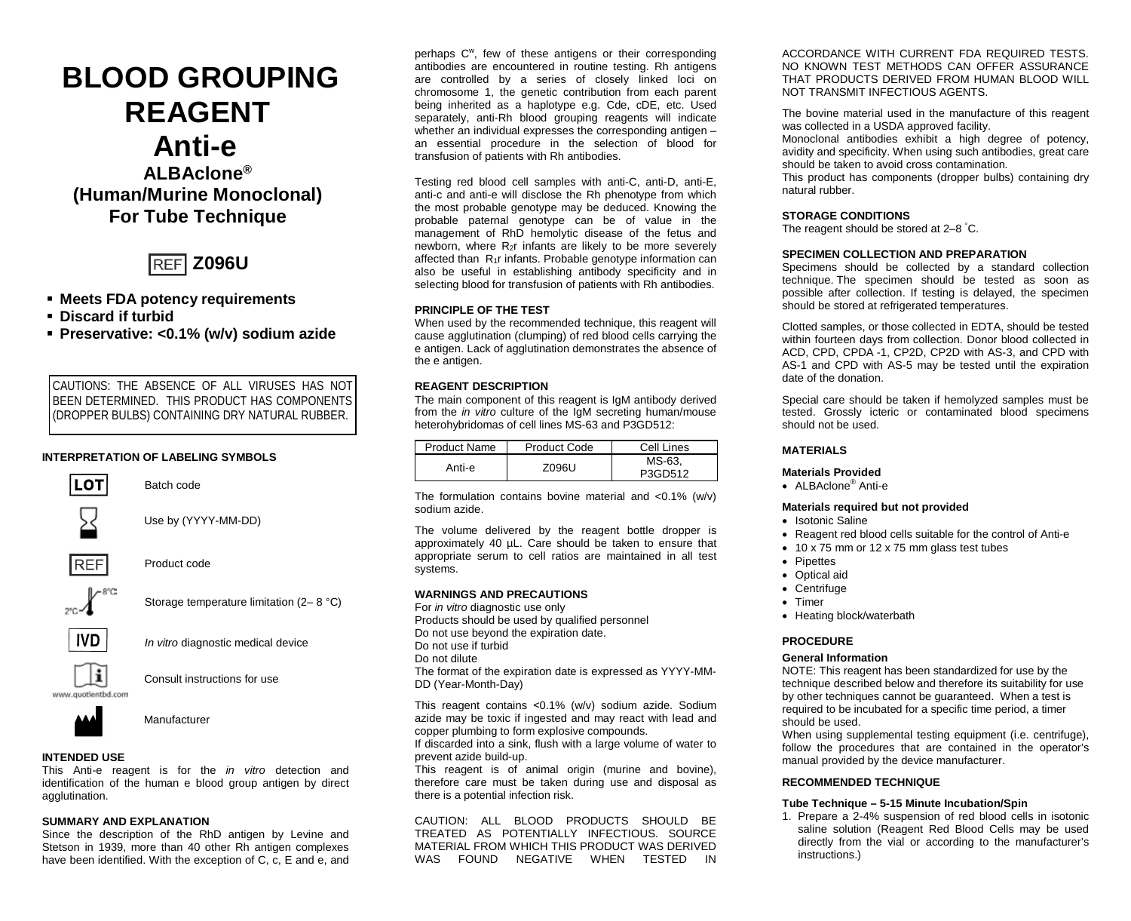# **BLOOD GROUPING REAGENT Anti-e**

## **ALBAclone® (Human/Murine Monoclonal) For Tube Technique**



#### **Meets FDA potency requirements**

- **Discard if turbid**
- **Preservative: <0.1% (w/v) sodium azide**

CAUTIONS: THE ABSENCE OF ALL VIRUSES HAS NOT BEEN DETERMINED. THIS PRODUCT HAS COMPONENTS (DROPPER BULBS) CONTAINING DRY NATURAL RUBBER.

#### **INTERPRETATION OF LABELING SYMBOLS**



Batch code

Use by (YYYY-MM-DD)



Product code



Storage temperature limitation (2– 8 °C)



*In vitro* diagnostic medical device



Consult instructions for use



Manufacturer

### **INTENDED USE**

This Anti-e reagent is for the *in vitro* detection and identification of the human e blood group antigen by direct agglutination.

#### **SUMMARY AND EXPLANATION**

Since the description of the RhD antigen by Levine and Stetson in 1939, more than 40 other Rh antigen complexes have been identified. With the exception of C, c, E and e, and perhaps C<sup>w</sup>, few of these antigens or their corresponding antibodies are encountered in routine testing. Rh antigens are controlled by a series of closely linked loci on chromosome 1, the genetic contribution from each parent being inherited as a haplotype e.g. Cde, cDE, etc. Used separately, anti-Rh blood grouping reagents will indicate whether an individual expresses the corresponding antigen – an essential procedure in the selection of blood for transfusion of patients with Rh antibodies.

Testing red blood cell samples with anti-C, anti-D, anti-E, anti-c and anti-e will disclose the Rh phenotype from which the most probable genotype may be deduced. Knowing the probable paternal genotype can be of value in the management of RhD hemolytic disease of the fetus and newborn, where  $R_{2}r$  infants are likely to be more severely affected than R1r infants. Probable genotype information can also be useful in establishing antibody specificity and in selecting blood for transfusion of patients with Rh antibodies.

#### **PRINCIPLE OF THE TEST**

When used by the recommended technique, this reagent will cause agglutination (clumping) of red blood cells carrying the e antigen. Lack of agglutination demonstrates the absence of the e antigen.

#### **REAGENT DESCRIPTION**

The main component of this reagent is IgM antibody derived from the *in vitro* culture of the IgM secreting human/mouse heterohybridomas of cell lines MS-63 and P3GD512:

| Product Name | <b>Product Code</b> | Cell Lines        |
|--------------|---------------------|-------------------|
| Anti-e       | Z096U               | MS-63.<br>P3GD512 |

The formulation contains bovine material and  $< 0.1\%$  (w/v) sodium azide.

The volume delivered by the reagent bottle dropper is approximately 40 µL. Care should be taken to ensure that appropriate serum to cell ratios are maintained in all test systems.

#### **WARNINGS AND PRECAUTIONS**

For *in vitro* diagnostic use only Products should be used by qualified personnel Do not use beyond the expiration date. Do not use if turbid Do not dilute The format of the expiration date is expressed as YYYY-MM-DD (Year-Month-Day)

This reagent contains ˂0.1% (w/v) sodium azide. Sodium azide may be toxic if ingested and may react with lead and copper plumbing to form explosive compounds.

If discarded into a sink, flush with a large volume of water to prevent azide build-up.

This reagent is of animal origin (murine and bovine), therefore care must be taken during use and disposal as there is a potential infection risk.

CAUTION: ALL BLOOD PRODUCTS SHOULD BE TREATED AS POTENTIALLY INFECTIOUS. SOURCE MATERIAL FROM WHICH THIS PRODUCT WAS DERIVED WAS FOUND NEGATIVE WHEN TESTED

ACCORDANCE WITH CURRENT FDA REQUIRED TESTS. NO KNOWN TEST METHODS CAN OFFER ASSURANCE THAT PRODUCTS DERIVED FROM HUMAN BLOOD WILL NOT TRANSMIT INFECTIOUS AGENTS.

The bovine material used in the manufacture of this reagent was collected in a USDA approved facility.

Monoclonal antibodies exhibit a high degree of potency, avidity and specificity. When using such antibodies, great care should be taken to avoid cross contamination*.*

This product has components (dropper bulbs) containing dry natural rubber.

#### **STORAGE CONDITIONS**

The reagent should be stored at 2–8 ° C.

#### **SPECIMEN COLLECTION AND PREPARATION**

Specimens should be collected by a standard collection technique. The specimen should be tested as soon as possible after collection. If testing is delayed, the specimen should be stored at refrigerated temperatures.

Clotted samples, or those collected in EDTA, should be tested within fourteen days from collection. Donor blood collected in ACD, CPD, CPDA -1, CP2D, CP2D with AS-3, and CPD with AS-1 and CPD with AS-5 may be tested until the expiration date of the donation.

Special care should be taken if hemolyzed samples must be tested. Grossly icteric or contaminated blood specimens should not be used.

#### **MATERIALS**

#### **Materials Provided**

• ALBAclone<sup>®</sup> Anti-e

#### **Materials required but not provided**

- Isotonic Saline
- Reagent red blood cells suitable for the control of Anti-e
- 10 x 75 mm or 12 x 75 mm glass test tubes
- Pipettes
- Optical aid
- Centrifuge
- Timer
- Heating block/waterbath

#### **PROCEDURE**

#### **General Information**

NOTE: This reagent has been standardized for use by the technique described below and therefore its suitability for use by other techniques cannot be guaranteed. When a test is required to be incubated for a specific time period, a timer should be used.

When using supplemental testing equipment (i.e. centrifuge), follow the procedures that are contained in the operator's manual provided by the device manufacturer.

#### **RECOMMENDED TECHNIQUE**

#### **Tube Technique – 5-15 Minute Incubation/Spin**

1. Prepare a 2-4% suspension of red blood cells in isotonic saline solution (Reagent Red Blood Cells may be used directly from the vial or according to the manufacturer's instructions.)